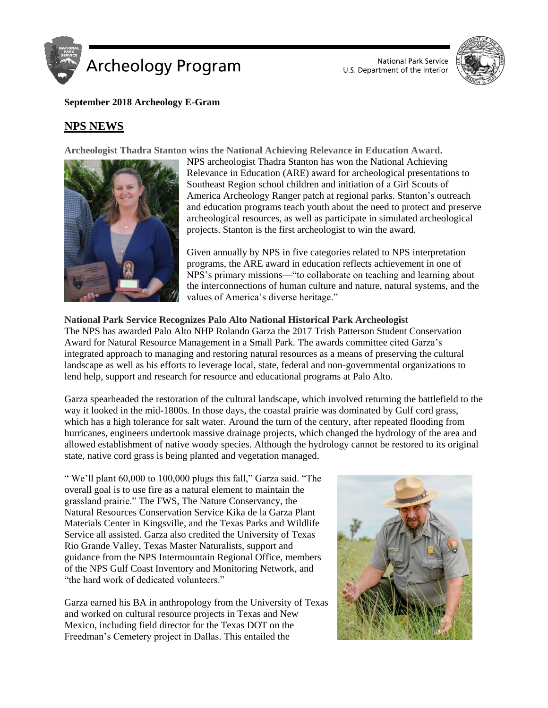

National Park Service U.S. Department of the Interior



### **September 2018 Archeology E-Gram**

# **NPS NEWS**

**Archeologist Thadra Stanton wins the National Achieving Relevance in Education Award.**



NPS archeologist Thadra Stanton has won the National Achieving Relevance in Education (ARE) award for archeological presentations to Southeast Region school children and initiation of a Girl Scouts of America Archeology Ranger patch at regional parks. Stanton's outreach and education programs teach youth about the need to protect and preserve archeological resources, as well as participate in simulated archeological projects. Stanton is the first archeologist to win the award.

Given annually by NPS in five categories related to NPS interpretation programs, the ARE award in education reflects achievement in one of NPS's primary missions—"to collaborate on teaching and learning about the interconnections of human culture and nature, natural systems, and the values of America's diverse heritage."

**National Park Service Recognizes Palo Alto National Historical Park Archeologist** The NPS has awarded Palo Alto NHP Rolando Garza the 2017 Trish Patterson Student Conservation Award for Natural Resource Management in a Small Park. The awards committee cited Garza's integrated approach to managing and restoring natural resources as a means of preserving the cultural landscape as well as his efforts to leverage local, state, federal and non-governmental organizations to lend help, support and research for resource and educational programs at Palo Alto.

Garza spearheaded the restoration of the cultural landscape, which involved returning the battlefield to the way it looked in the mid-1800s. In those days, the coastal prairie was dominated by Gulf cord grass, which has a high tolerance for salt water. Around the turn of the century, after repeated flooding from hurricanes, engineers undertook massive drainage projects, which changed the hydrology of the area and allowed establishment of native woody species. Although the hydrology cannot be restored to its original state, native cord grass is being planted and vegetation managed.

" We'll plant 60,000 to 100,000 plugs this fall," Garza said. "The overall goal is to use fire as a natural element to maintain the grassland prairie." The FWS, The Nature Conservancy, the Natural Resources Conservation Service Kika de la Garza Plant Materials Center in Kingsville, and the Texas Parks and Wildlife Service all assisted. Garza also credited the University of Texas Rio Grande Valley, Texas Master Naturalists, support and guidance from the NPS Intermountain Regional Office, members of the NPS Gulf Coast Inventory and Monitoring Network, and "the hard work of dedicated volunteers."

Garza earned his BA in anthropology from the University of Texas and worked on cultural resource projects in Texas and New Mexico, including field director for the Texas DOT on the Freedman's Cemetery project in Dallas. This entailed the

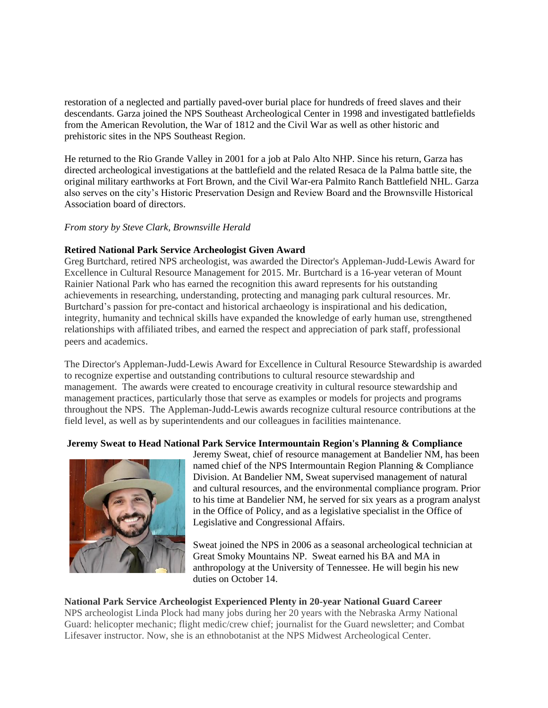restoration of a neglected and partially paved-over burial place for hundreds of freed slaves and their descendants. Garza joined the NPS Southeast Archeological Center in 1998 and investigated battlefields from the American Revolution, the War of 1812 and the Civil War as well as other historic and prehistoric sites in the NPS Southeast Region.

He returned to the Rio Grande Valley in 2001 for a job at Palo Alto NHP. Since his return, Garza has directed archeological investigations at the battlefield and the related Resaca de la Palma battle site, the original military earthworks at Fort Brown, and the Civil War-era Palmito Ranch Battlefield NHL. Garza also serves on the city's Historic Preservation Design and Review Board and the Brownsville Historical Association board of directors.

#### *From story by Steve Clark, Brownsville Herald*

#### **Retired National Park Service Archeologist Given Award**

Greg Burtchard, retired NPS archeologist, was awarded the Director's Appleman-Judd-Lewis Award for Excellence in Cultural Resource Management for 2015. Mr. Burtchard is a 16-year veteran of Mount Rainier National Park who has earned the recognition this award represents for his outstanding achievements in researching, understanding, protecting and managing park cultural resources. Mr. Burtchard's passion for pre-contact and historical archaeology is inspirational and his dedication, integrity, humanity and technical skills have expanded the knowledge of early human use, strengthened relationships with affiliated tribes, and earned the respect and appreciation of park staff, professional peers and academics.

The Director's Appleman-Judd-Lewis Award for Excellence in Cultural Resource Stewardship is awarded to recognize expertise and outstanding contributions to cultural resource stewardship and management. The awards were created to encourage creativity in cultural resource stewardship and management practices, particularly those that serve as examples or models for projects and programs throughout the NPS. The Appleman-Judd-Lewis awards recognize cultural resource contributions at the field level, as well as by superintendents and our colleagues in facilities maintenance.

#### **[Jeremy Sweat to Head National Park Service Intermountain Region's Planning & Compliance](https://sites.google.com/a/nps.gov/insidenps/home/people-news/bandeliernmsjeremysweattoheadintermountainregionsplanningcompliance)**



Jeremy Sweat, chief of resource management at Bandelier NM, has been named chief of the NPS Intermountain Region Planning & Compliance Division. At Bandelier NM, Sweat supervised management of natural and cultural resources, and the environmental compliance program. Prior to his time at Bandelier NM, he served for six years as a program analyst in the Office of Policy, and as a legislative specialist in the Office of Legislative and Congressional Affairs.

Sweat joined the NPS in 2006 as a seasonal archeological technician at Great Smoky Mountains NP. Sweat earned his BA and MA in anthropology at the University of Tennessee. He will begin his new duties on October 14

### **National Park Service Archeologist Experienced Plenty in 20-year National Guard Career**

NPS archeologist Linda Plock had many jobs during her 20 years with the Nebraska Army National Guard: helicopter mechanic; flight medic/crew chief; journalist for the Guard newsletter; and Combat Lifesaver instructor. Now, she is an ethnobotanist at the NPS Midwest Archeological Center.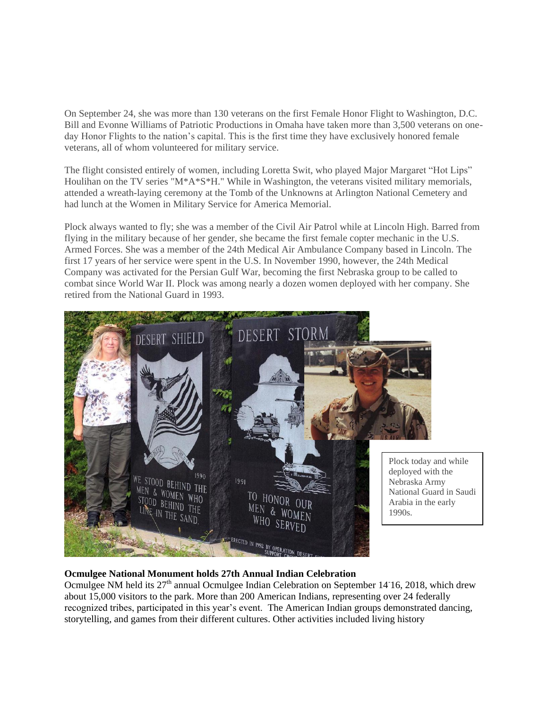On September 24, she was more than 130 veterans on the first Female Honor Flight to Washington, D.C. Bill and Evonne Williams of Patriotic Productions in Omaha have taken more than 3,500 veterans on oneday Honor Flights to the nation's capital. This is the first time they have exclusively honored female veterans, all of whom volunteered for military service.

The flight consisted entirely of women, including Loretta Swit, who played Major Margaret "Hot Lips" Houlihan on the TV series "M\*A\*S\*H." While in Washington, the veterans visited military memorials, attended a wreath-laying ceremony at the Tomb of the Unknowns at Arlington National Cemetery and had lunch at the Women in Military Service for America Memorial.

Plock always wanted to fly; she was a member of the Civil Air Patrol while at Lincoln High. Barred from flying in the military because of her gender, she became the first female copter mechanic in the U.S. Armed Forces. She was a member of the 24th Medical Air Ambulance Company based in Lincoln. The first 17 years of her service were spent in the U.S. In November 1990, however, the 24th Medical Company was activated for the Persian Gulf War, becoming the first Nebraska group to be called to combat since World War II. Plock was among nearly a dozen women deployed with her company. She retired from the National Guard in 1993.



# **Ocmulgee National Monument holds 27th Annual Indian Celebration**

Ocmulgee NM held its 27<sup>th</sup> annual Ocmulgee Indian Celebration on September 14<sup>-</sup>16, 2018, which drew about 15,000 visitors to the park. More than 200 American Indians, representing over 24 federally recognized tribes, participated in this year's event. The American Indian groups demonstrated dancing, storytelling, and games from their different cultures. Other activities included living history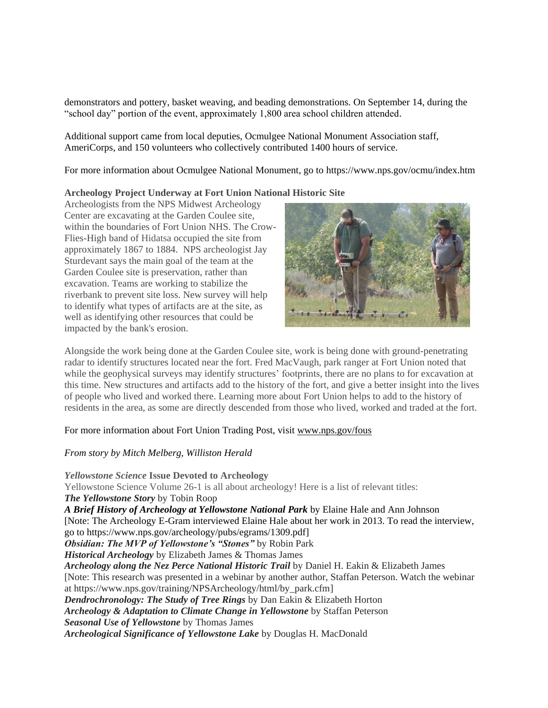demonstrators and pottery, basket weaving, and beading demonstrations. On September 14, during the "school day" portion of the event, approximately 1,800 area school children attended.

Additional support came from local deputies, Ocmulgee National Monument Association staff, AmeriCorps, and 150 volunteers who collectively contributed 1400 hours of service.

For more information about Ocmulgee National Monument, go to https://www.nps.gov/ocmu/index.htm

#### **Archeology Project Underway at Fort Union National Historic Site**

Archeologists from the NPS Midwest Archeology Center are excavating at the Garden Coulee site, within the boundaries of Fort Union NHS. The Crow-Flies-High band of Hidatsa occupied the site from approximately 1867 to 1884. NPS archeologist Jay Sturdevant says the main goal of the team at the Garden Coulee site is preservation, rather than excavation. Teams are working to stabilize the riverbank to prevent site loss. New survey will help to identify what types of artifacts are at the site, as well as identifying other resources that could be impacted by the bank's erosion.



Alongside the work being done at the Garden Coulee site, work is being done with ground-penetrating radar to identify structures located near the fort. Fred MacVaugh, park ranger at Fort Union noted that while the geophysical surveys may identify structures' footprints, there are no plans to for excavation at this time. New structures and artifacts add to the history of the fort, and give a better insight into the lives of people who lived and worked there. Learning more about Fort Union helps to add to the history of residents in the area, as some are directly descended from those who lived, worked and traded at the fort.

### For more information about Fort Union Trading Post, visit [www.nps.gov/fous](http://www.nps.gov/fous)

### *From story by Mitch Melberg, Williston Herald*

*Yellowstone Science* **Issue Devoted to Archeology** Yellowstone Science Volume 26-1 is all about archeology! Here is a list of relevant titles: *The Yellowstone Story* by Tobin Roop *A Brief History of Archeology at Yellowstone National Park* by Elaine Hale and Ann Johnson [Note: The Archeology E-Gram interviewed Elaine Hale about her work in 2013. To read the interview, go to https://www.nps.gov/archeology/pubs/egrams/1309.pdf] *Obsidian: The MVP of Yellowstone's "Stones"* by Robin Park *Historical Archeology* by Elizabeth James & Thomas James *Archeology along the Nez Perce National Historic Trail* by Daniel H. Eakin & Elizabeth James [Note: This research was presented in a webinar by another author, Staffan Peterson. Watch the webinar at https://www.nps.gov/training/NPSArcheology/html/by\_park.cfm] *Dendrochronology: The Study of Tree Rings* by Dan Eakin & Elizabeth Horton *Archeology & Adaptation to Climate Change in Yellowstone* by Staffan Peterson *Seasonal Use of Yellowstone* by Thomas James *Archeological Significance of Yellowstone Lake* by Douglas H. MacDonald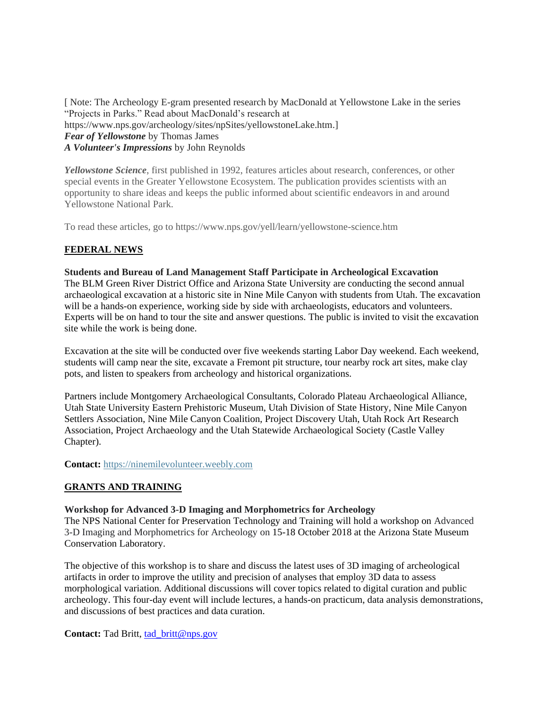[ Note: The Archeology E-gram presented research by MacDonald at Yellowstone Lake in the series "Projects in Parks." Read about MacDonald's research at https://www.nps.gov/archeology/sites/npSites/yellowstoneLake.htm.] *Fear of Yellowstone* by Thomas James *A Volunteer's Impressions* by John Reynolds

*Yellowstone Science*, first published in 1992, features articles about research, conferences, or other special events in the Greater Yellowstone Ecosystem. The publication provides scientists with an opportunity to share ideas and keeps the public informed about scientific endeavors in and around Yellowstone National Park.

To read these articles, go to https://www.nps.gov/yell/learn/yellowstone-science.htm

# **FEDERAL NEWS**

### **Students and Bureau of Land Management Staff Participate in Archeological Excavation** The BLM Green River District Office and Arizona State University are conducting the second annual archaeological excavation at a historic site in Nine Mile Canyon with students from Utah. The excavation will be a hands-on experience, working side by side with archaeologists, educators and volunteers. Experts will be on hand to tour the site and answer questions. The public is invited to visit the excavation site while the work is being done.

Excavation at the site will be conducted over five weekends starting Labor Day weekend. Each weekend, students will camp near the site, excavate a Fremont pit structure, tour nearby rock art sites, make clay pots, and listen to speakers from archeology and historical organizations.

Partners include Montgomery Archaeological Consultants, Colorado Plateau Archaeological Alliance, Utah State University Eastern Prehistoric Museum, Utah Division of State History, Nine Mile Canyon Settlers Association, Nine Mile Canyon Coalition, Project Discovery Utah, Utah Rock Art Research Association, Project Archaeology and the Utah Statewide Archaeological Society (Castle Valley Chapter).

**Contact:** [https://ninemilevolunteer.weebly.com](https://ninemilevolunteer.weebly.com/)

### **GRANTS AND TRAINING**

### **Workshop for Advanced 3-D Imaging and Morphometrics for Archeology**

The NPS National Center for Preservation Technology and Training will hold a workshop on Advanced 3-D Imaging and Morphometrics for Archeology on 15-18 October 2018 at the Arizona State Museum Conservation Laboratory.

The objective of this workshop is to share and discuss the latest uses of 3D imaging of archeological artifacts in order to improve the utility and precision of analyses that employ 3D data to assess morphological variation. Additional discussions will cover topics related to digital curation and public archeology. This four-day event will include lectures, a hands-on practicum, data analysis demonstrations, and discussions of best practices and data curation.

Contact: Tad Britt, [tad\\_britt@nps.gov](mailto:tad_britt@nps.gov)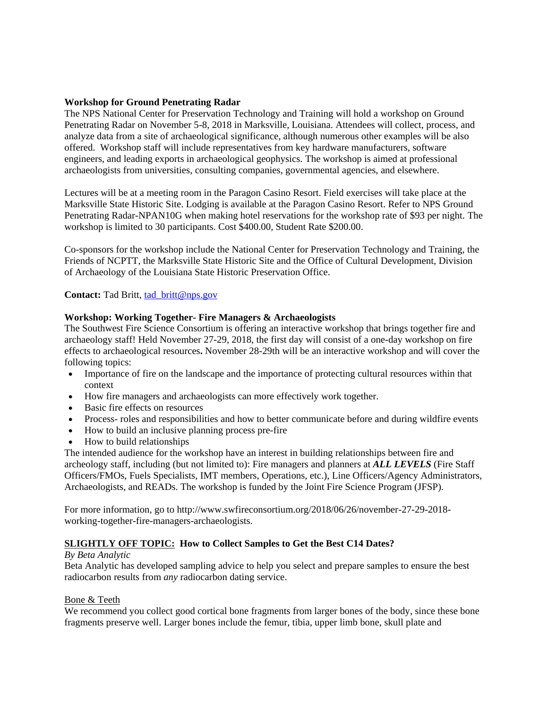### **Workshop for Ground Penetrating Radar**

The NPS National Center for Preservation Technology and Training will hold a workshop on Ground Penetrating Radar on November 5-8, 2018 in Marksville, Louisiana. Attendees will collect, process, and analyze data from a site of archaeological significance, although numerous other examples will be also offered. Workshop staff will include representatives from key hardware manufacturers, software engineers, and leading exports in archaeological geophysics. The workshop is aimed at professional archaeologists from universities, consulting companies, governmental agencies, and elsewhere.

Lectures will be at a meeting room in the Paragon Casino Resort. Field exercises will take place at the Marksville State Historic Site. Lodging is available at the Paragon Casino Resort. Refer to NPS Ground Penetrating Radar-NPAN10G when making hotel reservations for the workshop rate of \$93 per night. The workshop is limited to 30 participants. Cost \$400.00, Student Rate \$200.00.

Co-sponsors for the workshop include the National Center for Preservation Technology and Training, the Friends of NCPTT, the Marksville State Historic Site and the Office of Cultural Development, Division of Archaeology of the Louisiana State Historic Preservation Office.

**Contact:** Tad Britt, [tad\\_britt@nps.gov](mailto:tad_britt@nps.gov)

# **Workshop: Working Together- Fire Managers & Archaeologists**

The Southwest Fire Science Consortium is offering an interactive workshop that brings together fire and archaeology staff! Held November 27-29, 2018, the first day will consist of a one-day workshop on fire effects to archaeological resources**.** November 28-29th will be an interactive workshop and will cover the following topics:

- Importance of fire on the landscape and the importance of protecting cultural resources within that context
- How fire managers and archaeologists can more effectively work together.
- Basic fire effects on resources
- Process- roles and responsibilities and how to better communicate before and during wildfire events
- How to build an inclusive planning process pre-fire
- How to build relationships

The intended audience for the workshop have an interest in building relationships between fire and archeology staff, including (but not limited to): Fire managers and planners at *ALL LEVELS* (Fire Staff Officers/FMOs, Fuels Specialists, IMT members, Operations, etc.), Line Officers/Agency Administrators, Archaeologists, and READs. The workshop is funded by the Joint Fire Science Program (JFSP).

For more information, go to http://www.swfireconsortium.org/2018/06/26/november-27-29-2018 working-together-fire-managers-archaeologists.

# **SLIGHTLY OFF TOPIC: How to Collect Samples to Get the Best C14 Dates?**

### *By Beta Analytic*

Beta Analytic has developed sampling advice to help you select and prepare samples to ensure the best radiocarbon results from *any* radiocarbon dating service.

### Bone & Teeth

We recommend you collect good cortical bone fragments from larger bones of the body, since these bone fragments preserve well. Larger bones include the femur, tibia, upper limb bone, skull plate and